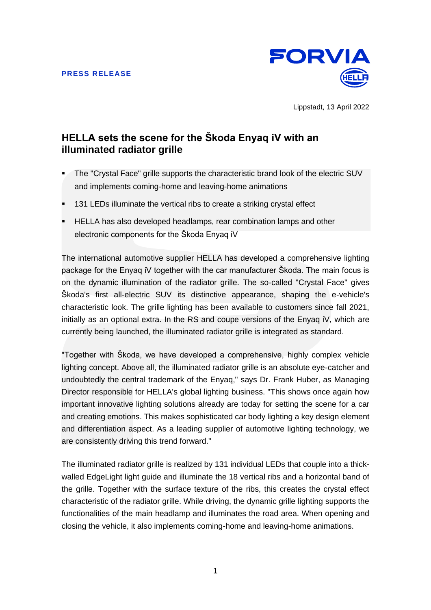

Lippstadt, 13 April 2022

# **HELLA sets the scene for the Škoda Enyaq iV with an illuminated radiator grille**

- The "Crystal Face" grille supports the characteristic brand look of the electric SUV and implements coming-home and leaving-home animations
- 131 LEDs illuminate the vertical ribs to create a striking crystal effect
- **EXTELLA has also developed headlamps, rear combination lamps and other** electronic components for the Škoda Enyaq iV

The international automotive supplier HELLA has developed a comprehensive lighting package for the Enyaq iV together with the car manufacturer Škoda. The main focus is on the dynamic illumination of the radiator grille. The so-called "Crystal Face" gives Škoda's first all-electric SUV its distinctive appearance, shaping the e-vehicle's characteristic look. The grille lighting has been available to customers since fall 2021, initially as an optional extra. In the RS and coupe versions of the Enyaq iV, which are currently being launched, the illuminated radiator grille is integrated as standard.

"Together with Škoda, we have developed a comprehensive, highly complex vehicle lighting concept. Above all, the illuminated radiator grille is an absolute eye-catcher and undoubtedly the central trademark of the Enyaq," says Dr. Frank Huber, as Managing Director responsible for HELLA's global lighting business. "This shows once again how important innovative lighting solutions already are today for setting the scene for a car and creating emotions. This makes sophisticated car body lighting a key design element and differentiation aspect. As a leading supplier of automotive lighting technology, we are consistently driving this trend forward."

The illuminated radiator grille is realized by 131 individual LEDs that couple into a thickwalled EdgeLight light guide and illuminate the 18 vertical ribs and a horizontal band of the grille. Together with the surface texture of the ribs, this creates the crystal effect characteristic of the radiator grille. While driving, the dynamic grille lighting supports the functionalities of the main headlamp and illuminates the road area. When opening and closing the vehicle, it also implements coming-home and leaving-home animations.